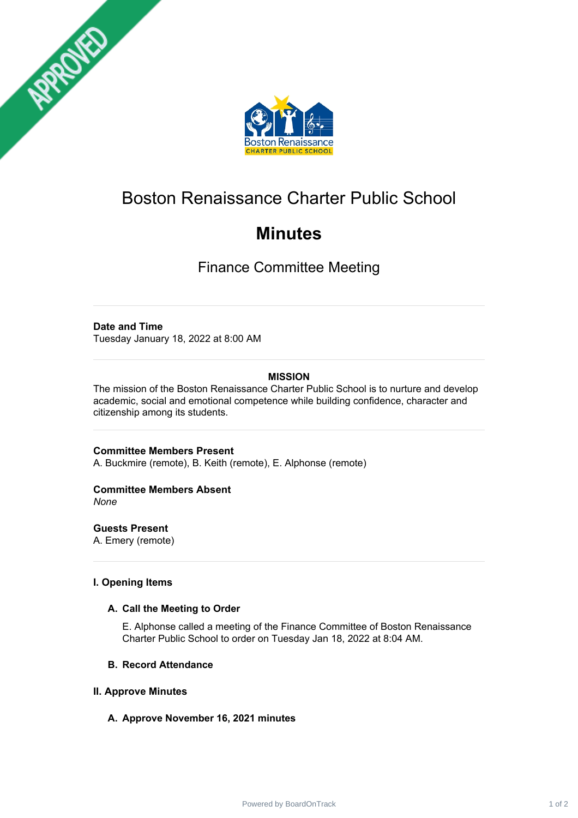



# Boston Renaissance Charter Public School

# **Minutes**

Finance Committee Meeting

### **Date and Time**

Tuesday January 18, 2022 at 8:00 AM

# **MISSION**

The mission of the Boston Renaissance Charter Public School is to nurture and develop academic, social and emotional competence while building confidence, character and citizenship among its students.

**Committee Members Present**

A. Buckmire (remote), B. Keith (remote), E. Alphonse (remote)

# **Committee Members Absent**

*None*

**Guests Present** A. Emery (remote)

### **I. Opening Items**

#### **A. Call the Meeting to Order**

E. Alphonse called a meeting of the Finance Committee of Boston Renaissance Charter Public School to order on Tuesday Jan 18, 2022 at 8:04 AM.

#### **B. Record Attendance**

#### **II. Approve Minutes**

# **A. Approve November 16, 2021 minutes**